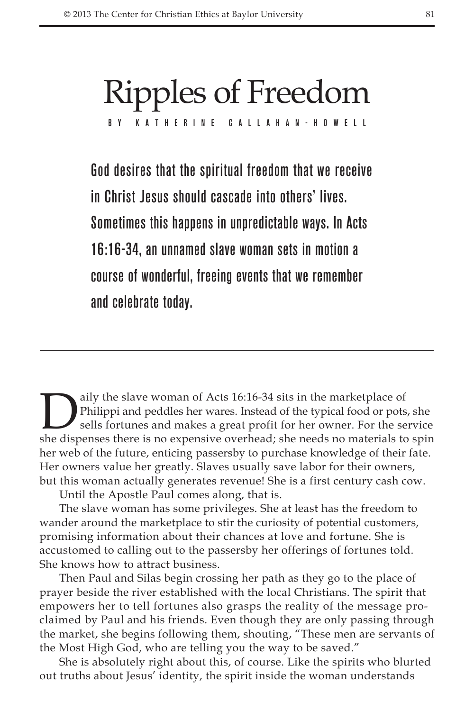# Ripples of Freedom

BY KATHERINE CALLAHAN-

God desires that the spiritual freedom that we receive in Christ Jesus should cascade into others' lives. Sometimes this happens in unpredictable ways. In Acts 16:16-34, an unnamed slave woman sets in motion a course of wonderful, freeing events that we remember and celebrate today.

Daily the slave woman of Acts 16:16-34 sits in the marketplace of<br>Philippi and peddles her wares. Instead of the typical food or pots,<br>sells fortunes and makes a great profit for her owner. For the se-<br>she dispenses there Philippi and peddles her wares. Instead of the typical food or pots, she sells fortunes and makes a great profit for her owner. For the service she dispenses there is no expensive overhead; she needs no materials to spin her web of the future, enticing passersby to purchase knowledge of their fate. Her owners value her greatly. Slaves usually save labor for their owners, but this woman actually generates revenue! She is a first century cash cow.

Until the Apostle Paul comes along, that is.

The slave woman has some privileges. She at least has the freedom to wander around the marketplace to stir the curiosity of potential customers, promising information about their chances at love and fortune. She is accustomed to calling out to the passersby her offerings of fortunes told. She knows how to attract business.

Then Paul and Silas begin crossing her path as they go to the place of prayer beside the river established with the local Christians. The spirit that empowers her to tell fortunes also grasps the reality of the message proclaimed by Paul and his friends. Even though they are only passing through the market, she begins following them, shouting, "These men are servants of the Most High God, who are telling you the way to be saved."

She is absolutely right about this, of course. Like the spirits who blurted out truths about Jesus' identity, the spirit inside the woman understands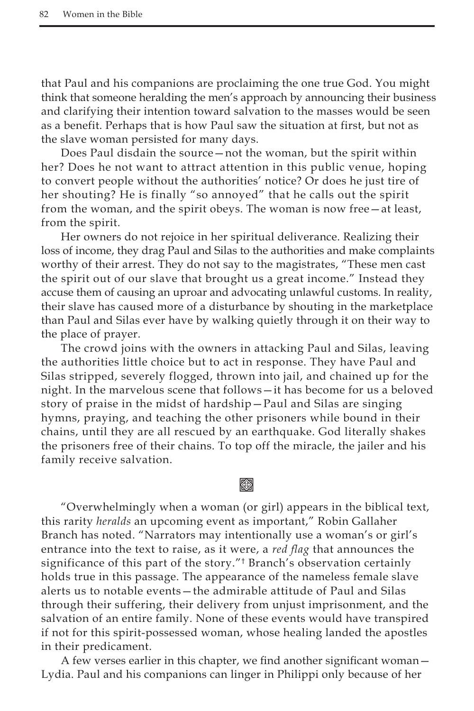that Paul and his companions are proclaiming the one true God. You might think that someone heralding the men's approach by announcing their business and clarifying their intention toward salvation to the masses would be seen as a benefit. Perhaps that is how Paul saw the situation at first, but not as the slave woman persisted for many days.

Does Paul disdain the source—not the woman, but the spirit within her? Does he not want to attract attention in this public venue, hoping to convert people without the authorities' notice? Or does he just tire of her shouting? He is finally "so annoyed" that he calls out the spirit from the woman, and the spirit obeys. The woman is now free—at least, from the spirit.

Her owners do not rejoice in her spiritual deliverance. Realizing their loss of income, they drag Paul and Silas to the authorities and make complaints worthy of their arrest. They do not say to the magistrates, "These men cast the spirit out of our slave that brought us a great income." Instead they accuse them of causing an uproar and advocating unlawful customs. In reality, their slave has caused more of a disturbance by shouting in the marketplace than Paul and Silas ever have by walking quietly through it on their way to the place of prayer.

The crowd joins with the owners in attacking Paul and Silas, leaving the authorities little choice but to act in response. They have Paul and Silas stripped, severely flogged, thrown into jail, and chained up for the night. In the marvelous scene that follows—it has become for us a beloved story of praise in the midst of hardship—Paul and Silas are singing hymns, praying, and teaching the other prisoners while bound in their chains, until they are all rescued by an earthquake. God literally shakes the prisoners free of their chains. To top off the miracle, the jailer and his family receive salvation.

## **Keep**

"Overwhelmingly when a woman (or girl) appears in the biblical text, this rarity *heralds* an upcoming event as important," Robin Gallaher Branch has noted. "Narrators may intentionally use a woman's or girl's entrance into the text to raise, as it were, a *red flag* that announces the significance of this part of the story."<sup>†</sup> Branch's observation certainly holds true in this passage. The appearance of the nameless female slave alerts us to notable events—the admirable attitude of Paul and Silas through their suffering, their delivery from unjust imprisonment, and the salvation of an entire family. None of these events would have transpired if not for this spirit-possessed woman, whose healing landed the apostles in their predicament.

A few verses earlier in this chapter, we find another significant woman— Lydia. Paul and his companions can linger in Philippi only because of her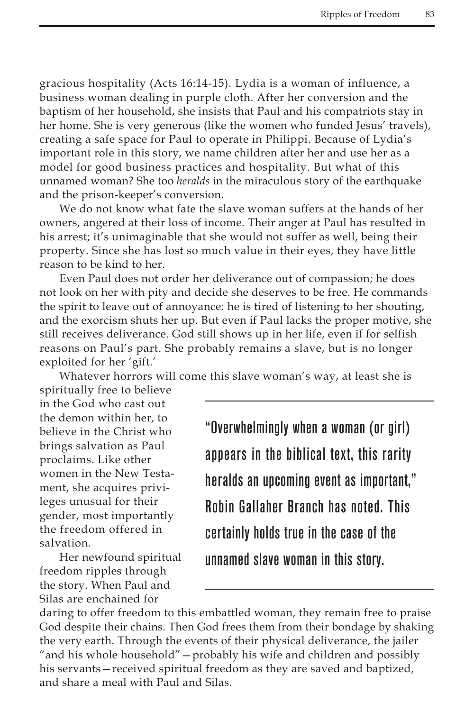gracious hospitality (Acts 16:14-15). Lydia is a woman of influence, a business woman dealing in purple cloth. After her conversion and the baptism of her household, she insists that Paul and his compatriots stay in her home. She is very generous (like the women who funded Jesus' travels), creating a safe space for Paul to operate in Philippi. Because of Lydia's important role in this story, we name children after her and use her as a model for good business practices and hospitality. But what of this unnamed woman? She too *heralds* in the miraculous story of the earthquake and the prison-keeper's conversion.

We do not know what fate the slave woman suffers at the hands of her owners, angered at their loss of income. Their anger at Paul has resulted in his arrest; it's unimaginable that she would not suffer as well, being their property. Since she has lost so much value in their eyes, they have little reason to be kind to her.

Even Paul does not order her deliverance out of compassion; he does not look on her with pity and decide she deserves to be free. He commands the spirit to leave out of annoyance: he is tired of listening to her shouting, and the exorcism shuts her up. But even if Paul lacks the proper motive, she still receives deliverance. God still shows up in her life, even if for selfish reasons on Paul's part. She probably remains a slave, but is no longer exploited for her 'gift.'

Whatever horrors will come this slave woman's way, at least she is

spiritually free to believe in the God who cast out the demon within her, to believe in the Christ who brings salvation as Paul proclaims. Like other women in the New Testament, she acquires privileges unusual for their gender, most importantly the freedom offered in salvation.

Her newfound spiritual freedom ripples through the story. When Paul and Silas are enchained for

"Overwhelmingly when a woman (or girl) appears in the biblical text, this rarity heralds an upcoming event as important," Robin Gallaher Branch has noted. This certainly holds true in the case of the unnamed slave woman in this story.

daring to offer freedom to this embattled woman, they remain free to praise God despite their chains. Then God frees them from their bondage by shaking the very earth. Through the events of their physical deliverance, the jailer "and his whole household"—probably his wife and children and possibly his servants—received spiritual freedom as they are saved and baptized, and share a meal with Paul and Silas.